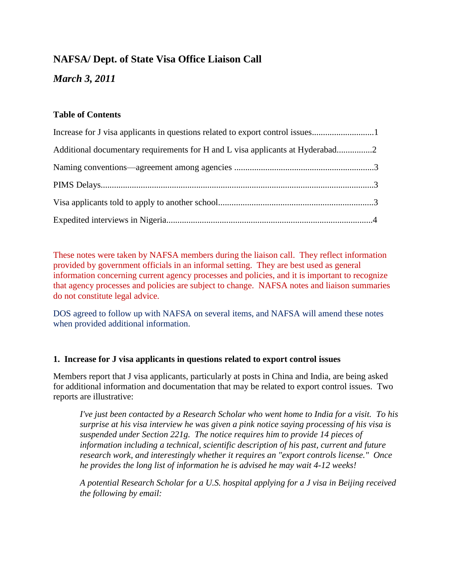# **NAFSA/ Dept. of State Visa Office Liaison Call**

*March 3, 2011*

## **Table of Contents**

| Additional documentary requirements for H and L visa applicants at Hyderabad2 |  |
|-------------------------------------------------------------------------------|--|
|                                                                               |  |
|                                                                               |  |
|                                                                               |  |
|                                                                               |  |

These notes were taken by NAFSA members during the liaison call. They reflect information provided by government officials in an informal setting. They are best used as general information concerning current agency processes and policies, and it is important to recognize that agency processes and policies are subject to change. NAFSA notes and liaison summaries do not constitute legal advice.

DOS agreed to follow up with NAFSA on several items, and NAFSA will amend these notes when provided additional information.

### **1. Increase for J visa applicants in questions related to export control issues**

Members report that J visa applicants, particularly at posts in China and India, are being asked for additional information and documentation that may be related to export control issues. Two reports are illustrative:

*I've just been contacted by a Research Scholar who went home to India for a visit. To his surprise at his visa interview he was given a pink notice saying processing of his visa is suspended under Section 221g. The notice requires him to provide 14 pieces of information including a technical, scientific description of his past, current and future research work, and interestingly whether it requires an "export controls license." Once he provides the long list of information he is advised he may wait 4-12 weeks!*

*A potential Research Scholar for a U.S. hospital applying for a J visa in Beijing received the following by email:*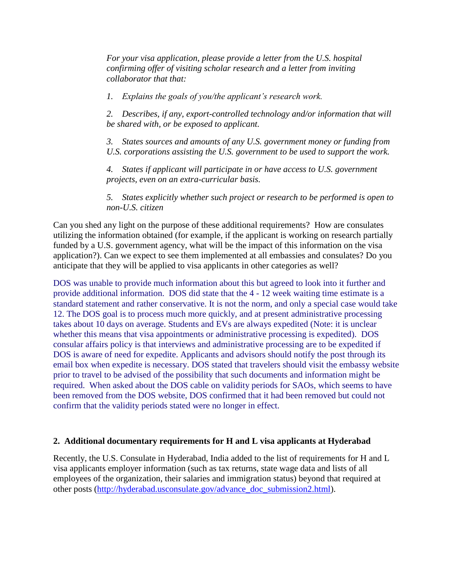*For your visa application, please provide a letter from the U.S. hospital confirming offer of visiting scholar research and a letter from inviting collaborator that that:*

*1. Explains the goals of you/the applicant's research work.*

*2. Describes, if any, export-controlled technology and/or information that will be shared with, or be exposed to applicant.*

*3. States sources and amounts of any U.S. government money or funding from U.S. corporations assisting the U.S. government to be used to support the work.*

*4. States if applicant will participate in or have access to U.S. government projects, even on an extra-curricular basis.*

*5. States explicitly whether such project or research to be performed is open to non-U.S. citizen*

Can you shed any light on the purpose of these additional requirements? How are consulates utilizing the information obtained (for example, if the applicant is working on research partially funded by a U.S. government agency, what will be the impact of this information on the visa application?). Can we expect to see them implemented at all embassies and consulates? Do you anticipate that they will be applied to visa applicants in other categories as well?

DOS was unable to provide much information about this but agreed to look into it further and provide additional information. DOS did state that the 4 - 12 week waiting time estimate is a standard statement and rather conservative. It is not the norm, and only a special case would take 12. The DOS goal is to process much more quickly, and at present administrative processing takes about 10 days on average. Students and EVs are always expedited (Note: it is unclear whether this means that visa appointments or administrative processing is expedited). DOS consular affairs policy is that interviews and administrative processing are to be expedited if DOS is aware of need for expedite. Applicants and advisors should notify the post through its email box when expedite is necessary. DOS stated that travelers should visit the embassy website prior to travel to be advised of the possibility that such documents and information might be required. When asked about the DOS cable on validity periods for SAOs, which seems to have been removed from the DOS website, DOS confirmed that it had been removed but could not confirm that the validity periods stated were no longer in effect.

#### **2. Additional documentary requirements for H and L visa applicants at Hyderabad**

Recently, the U.S. Consulate in Hyderabad, India added to the list of requirements for H and L visa applicants employer information (such as tax returns, state wage data and lists of all employees of the organization, their salaries and immigration status) beyond that required at other posts [\(http://hyderabad.usconsulate.gov/advance\\_doc\\_submission2.html\)](http://hyderabad.usconsulate.gov/advance_doc_submission2.html).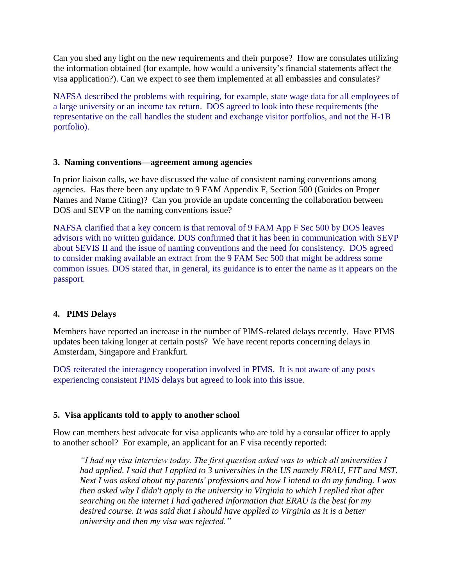Can you shed any light on the new requirements and their purpose? How are consulates utilizing the information obtained (for example, how would a university's financial statements affect the visa application?). Can we expect to see them implemented at all embassies and consulates?

NAFSA described the problems with requiring, for example, state wage data for all employees of a large university or an income tax return. DOS agreed to look into these requirements (the representative on the call handles the student and exchange visitor portfolios, and not the H-1B portfolio).

#### **3. Naming conventions—agreement among agencies**

In prior liaison calls, we have discussed the value of consistent naming conventions among agencies. Has there been any update to 9 FAM Appendix F, Section 500 (Guides on Proper Names and Name Citing)? Can you provide an update concerning the collaboration between DOS and SEVP on the naming conventions issue?

NAFSA clarified that a key concern is that removal of 9 FAM App F Sec 500 by DOS leaves advisors with no written guidance. DOS confirmed that it has been in communication with SEVP about SEVIS II and the issue of naming conventions and the need for consistency. DOS agreed to consider making available an extract from the 9 FAM Sec 500 that might be address some common issues. DOS stated that, in general, its guidance is to enter the name as it appears on the passport.

### **4. PIMS Delays**

Members have reported an increase in the number of PIMS-related delays recently. Have PIMS updates been taking longer at certain posts? We have recent reports concerning delays in Amsterdam, Singapore and Frankfurt.

DOS reiterated the interagency cooperation involved in PIMS. It is not aware of any posts experiencing consistent PIMS delays but agreed to look into this issue.

### **5. Visa applicants told to apply to another school**

How can members best advocate for visa applicants who are told by a consular officer to apply to another school? For example, an applicant for an F visa recently reported:

*"I had my visa interview today. The first question asked was to which all universities I had applied. I said that I applied to 3 universities in the US namely ERAU, FIT and MST. Next I was asked about my parents' professions and how I intend to do my funding. I was then asked why I didn't apply to the university in Virginia to which I replied that after searching on the internet I had gathered information that ERAU is the best for my desired course. It was said that I should have applied to Virginia as it is a better university and then my visa was rejected."*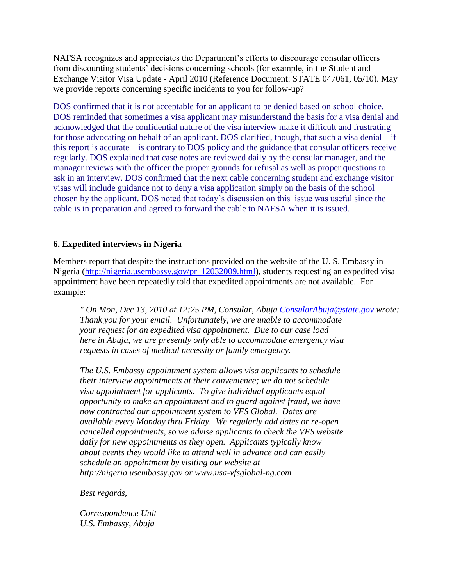NAFSA recognizes and appreciates the Department's efforts to discourage consular officers from discounting students' decisions concerning schools (for example, in the Student and Exchange Visitor Visa Update ‐ April 2010 (Reference Document: STATE 047061, 05/10). May we provide reports concerning specific incidents to you for follow-up?

DOS confirmed that it is not acceptable for an applicant to be denied based on school choice. DOS reminded that sometimes a visa applicant may misunderstand the basis for a visa denial and acknowledged that the confidential nature of the visa interview make it difficult and frustrating for those advocating on behalf of an applicant. DOS clarified, though, that such a visa denial—if this report is accurate—is contrary to DOS policy and the guidance that consular officers receive regularly. DOS explained that case notes are reviewed daily by the consular manager, and the manager reviews with the officer the proper grounds for refusal as well as proper questions to ask in an interview. DOS confirmed that the next cable concerning student and exchange visitor visas will include guidance not to deny a visa application simply on the basis of the school chosen by the applicant. DOS noted that today's discussion on this issue was useful since the cable is in preparation and agreed to forward the cable to NAFSA when it is issued.

### **6. Expedited interviews in Nigeria**

Members report that despite the instructions provided on the website of the U. S. Embassy in Nigeria [\(http://nigeria.usembassy.gov/pr\\_12032009.html\)](http://nigeria.usembassy.gov/pr_12032009.html), students requesting an expedited visa appointment have been repeatedly told that expedited appointments are not available. For example:

*" On Mon, Dec 13, 2010 at 12:25 PM, Consular, Abuja [ConsularAbuja@state.gov](mailto:ConsularAbuja@state.gov) wrote: Thank you for your email. Unfortunately, we are unable to accommodate your request for an expedited visa appointment. Due to our case load here in Abuja, we are presently only able to accommodate emergency visa requests in cases of medical necessity or family emergency.*

*The U.S. Embassy appointment system allows visa applicants to schedule their interview appointments at their convenience; we do not schedule visa appointment for applicants. To give individual applicants equal opportunity to make an appointment and to guard against fraud, we have now contracted our appointment system to VFS Global. Dates are available every Monday thru Friday. We regularly add dates or re-open cancelled appointments, so we advise applicants to check the VFS website daily for new appointments as they open. Applicants typically know about events they would like to attend well in advance and can easily schedule an appointment by visiting our website at http://nigeria.usembassy.gov or www.usa-vfsglobal-ng.com*

*Best regards,*

*Correspondence Unit U.S. Embassy, Abuja*